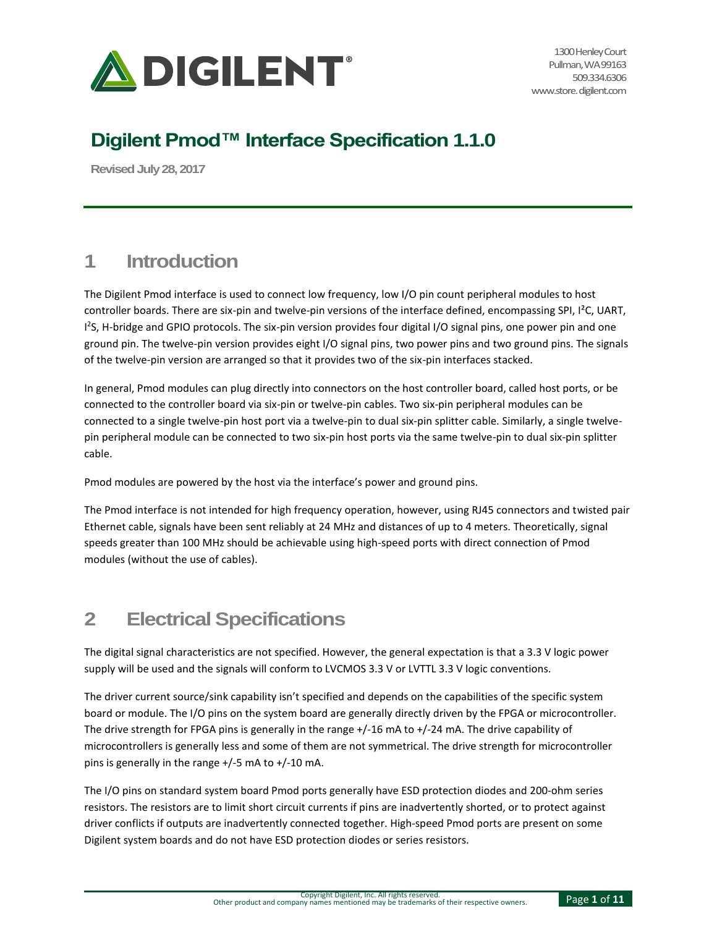

# **Digilent Pmod™ Interface Specification 1.1.0**

**Revised July 28, 2017**

## **1 Introduction**

The Digilent Pmod interface is used to connect low frequency, low I/O pin count peripheral modules to host controller boards. There are six-pin and twelve-pin versions of the interface defined, encompassing SPI, I²C, UART, I 2 S, H-bridge and GPIO protocols. The six-pin version provides four digital I/O signal pins, one power pin and one ground pin. The twelve-pin version provides eight I/O signal pins, two power pins and two ground pins. The signals of the twelve-pin version are arranged so that it provides two of the six-pin interfaces stacked.

In general, Pmod modules can plug directly into connectors on the host controller board, called host ports, or be connected to the controller board via six-pin or twelve-pin cables. Two six-pin peripheral modules can be connected to a single twelve-pin host port via a twelve-pin to dual six-pin splitter cable. Similarly, a single twelvepin peripheral module can be connected to two six-pin host ports via the same twelve-pin to dual six-pin splitter cable.

Pmod modules are powered by the host via the interface's power and ground pins.

The Pmod interface is not intended for high frequency operation, however, using RJ45 connectors and twisted pair Ethernet cable, signals have been sent reliably at 24 MHz and distances of up to 4 meters. Theoretically, signal speeds greater than 100 MHz should be achievable using high-speed ports with direct connection of Pmod modules (without the use of cables).

## **2 Electrical Specifications**

The digital signal characteristics are not specified. However, the general expectation is that a 3.3 V logic power supply will be used and the signals will conform to LVCMOS 3.3 V or LVTTL 3.3 V logic conventions.

The driver current source/sink capability isn't specified and depends on the capabilities of the specific system board or module. The I/O pins on the system board are generally directly driven by the FPGA or microcontroller. The drive strength for FPGA pins is generally in the range +/-16 mA to +/-24 mA. The drive capability of microcontrollers is generally less and some of them are not symmetrical. The drive strength for microcontroller pins is generally in the range +/-5 mA to +/-10 mA.

The I/O pins on standard system board Pmod ports generally have ESD protection diodes and 200-ohm series resistors. The resistors are to limit short circuit currents if pins are inadvertently shorted, or to protect against driver conflicts if outputs are inadvertently connected together. High-speed Pmod ports are present on some Digilent system boards and do not have ESD protection diodes or series resistors.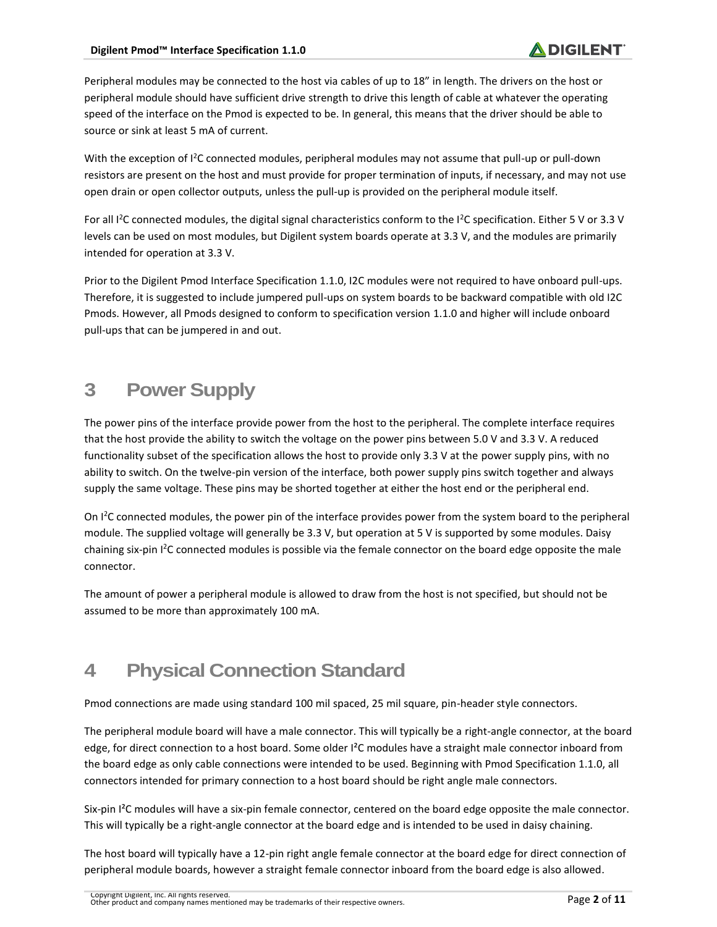Peripheral modules may be connected to the host via cables of up to 18" in length. The drivers on the host or peripheral module should have sufficient drive strength to drive this length of cable at whatever the operating speed of the interface on the Pmod is expected to be. In general, this means that the driver should be able to source or sink at least 5 mA of current.

With the exception of I<sup>2</sup>C connected modules, peripheral modules may not assume that pull-up or pull-down resistors are present on the host and must provide for proper termination of inputs, if necessary, and may not use open drain or open collector outputs, unless the pull-up is provided on the peripheral module itself.

For all  $l^2C$  connected modules, the digital signal characteristics conform to the  $l^2C$  specification. Either 5 V or 3.3 V levels can be used on most modules, but Digilent system boards operate at 3.3 V, and the modules are primarily intended for operation at 3.3 V.

Prior to the Digilent Pmod Interface Specification 1.1.0, I2C modules were not required to have onboard pull-ups. Therefore, it is suggested to include jumpered pull-ups on system boards to be backward compatible with old I2C Pmods. However, all Pmods designed to conform to specification version 1.1.0 and higher will include onboard pull-ups that can be jumpered in and out.

# **3 Power Supply**

The power pins of the interface provide power from the host to the peripheral. The complete interface requires that the host provide the ability to switch the voltage on the power pins between 5.0 V and 3.3 V. A reduced functionality subset of the specification allows the host to provide only 3.3 V at the power supply pins, with no ability to switch. On the twelve-pin version of the interface, both power supply pins switch together and always supply the same voltage. These pins may be shorted together at either the host end or the peripheral end.

On I<sup>2</sup>C connected modules, the power pin of the interface provides power from the system board to the peripheral module. The supplied voltage will generally be 3.3 V, but operation at 5 V is supported by some modules. Daisy chaining six-pin I<sup>2</sup>C connected modules is possible via the female connector on the board edge opposite the male connector.

The amount of power a peripheral module is allowed to draw from the host is not specified, but should not be assumed to be more than approximately 100 mA.

# **4 Physical Connection Standard**

Pmod connections are made using standard 100 mil spaced, 25 mil square, pin-header style connectors.

The peripheral module board will have a male connector. This will typically be a right-angle connector, at the board edge, for direct connection to a host board. Some older I²C modules have a straight male connector inboard from the board edge as only cable connections were intended to be used. Beginning with Pmod Specification 1.1.0, all connectors intended for primary connection to a host board should be right angle male connectors.

Six-pin I²C modules will have a six-pin female connector, centered on the board edge opposite the male connector. This will typically be a right-angle connector at the board edge and is intended to be used in daisy chaining.

The host board will typically have a 12-pin right angle female connector at the board edge for direct connection of peripheral module boards, however a straight female connector inboard from the board edge is also allowed.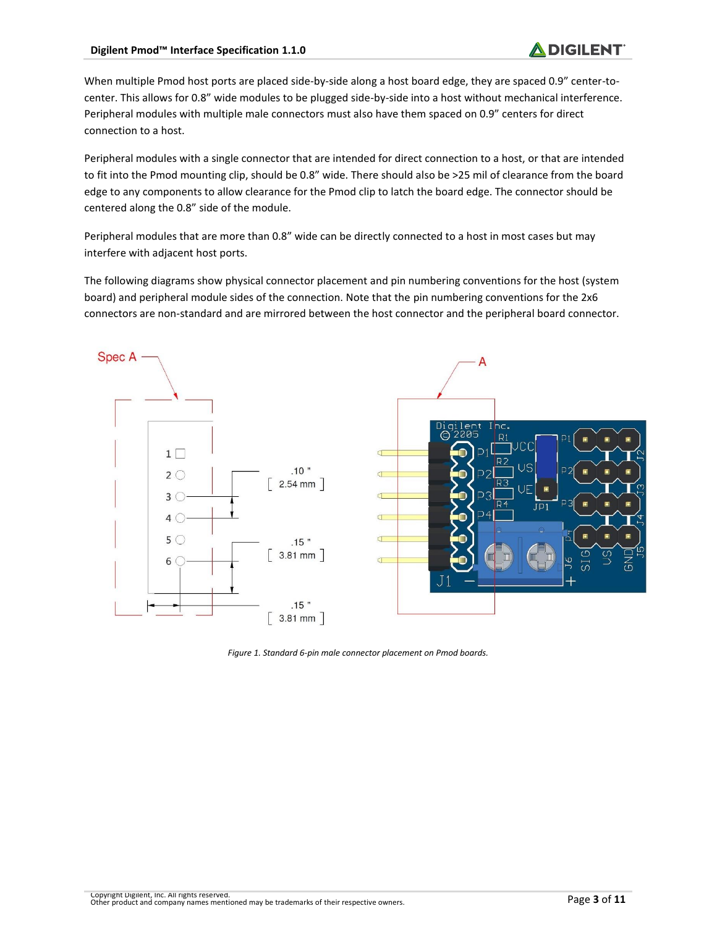When multiple Pmod host ports are placed side-by-side along a host board edge, they are spaced 0.9" center-tocenter. This allows for 0.8" wide modules to be plugged side-by-side into a host without mechanical interference. Peripheral modules with multiple male connectors must also have them spaced on 0.9" centers for direct connection to a host.

Peripheral modules with a single connector that are intended for direct connection to a host, or that are intended to fit into the Pmod mounting clip, should be 0.8" wide. There should also be >25 mil of clearance from the board edge to any components to allow clearance for the Pmod clip to latch the board edge. The connector should be centered along the 0.8" side of the module.

Peripheral modules that are more than 0.8" wide can be directly connected to a host in most cases but may interfere with adjacent host ports.

The following diagrams show physical connector placement and pin numbering conventions for the host (system board) and peripheral module sides of the connection. Note that the pin numbering conventions for the 2x6 connectors are non-standard and are mirrored between the host connector and the peripheral board connector.



*Figure 1. Standard 6-pin male connector placement on Pmod boards.*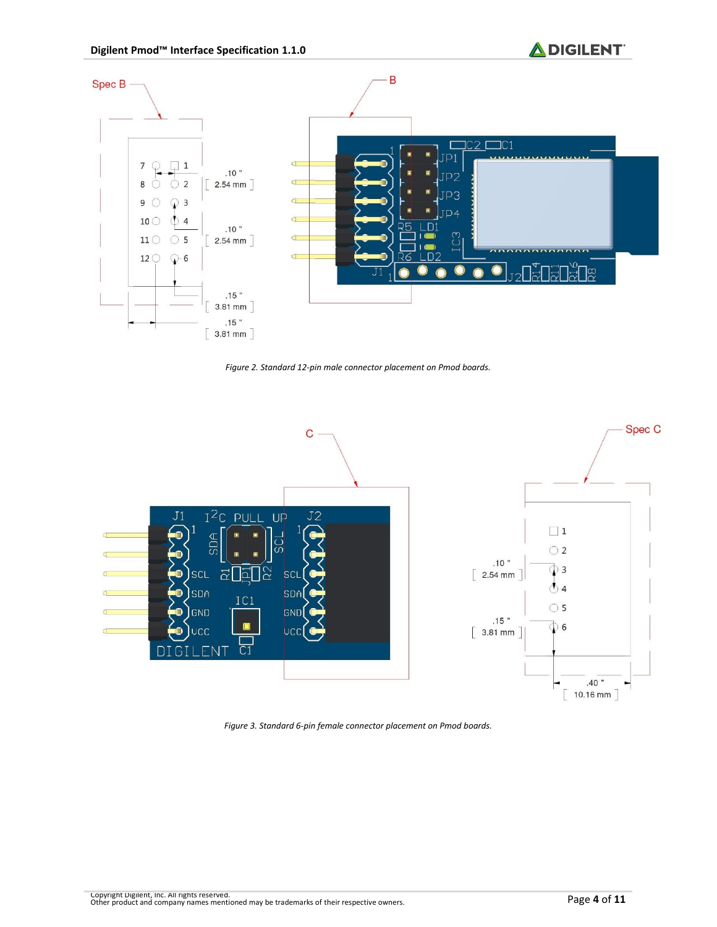

*Figure 2. Standard 12-pin male connector placement on Pmod boards.*



*Figure 3. Standard 6-pin female connector placement on Pmod boards.*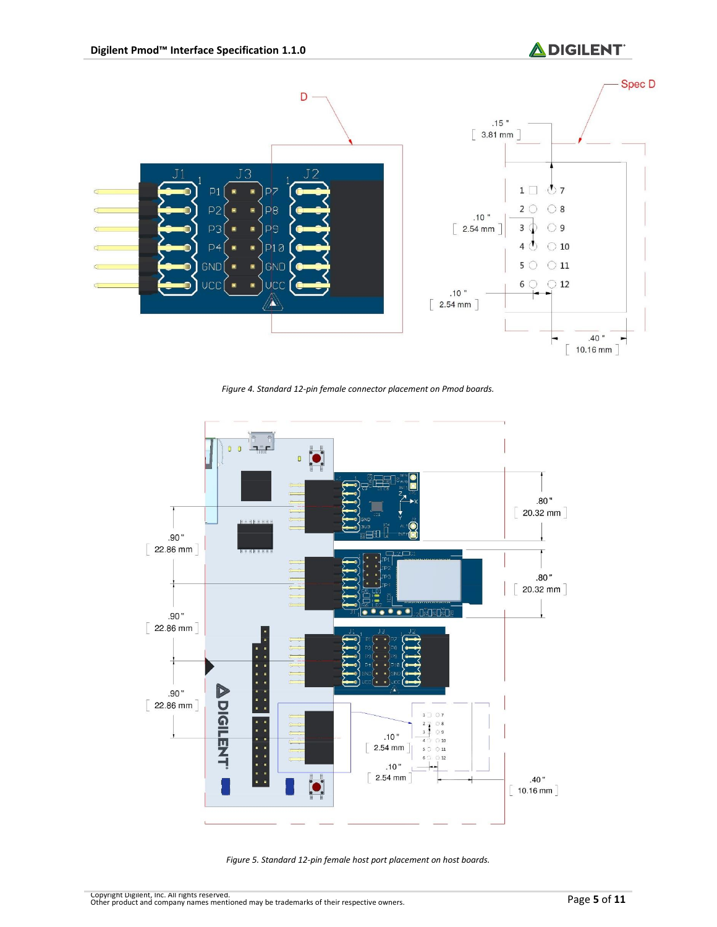

*Figure 4. Standard 12-pin female connector placement on Pmod boards.*



*Figure 5. Standard 12-pin female host port placement on host boards.*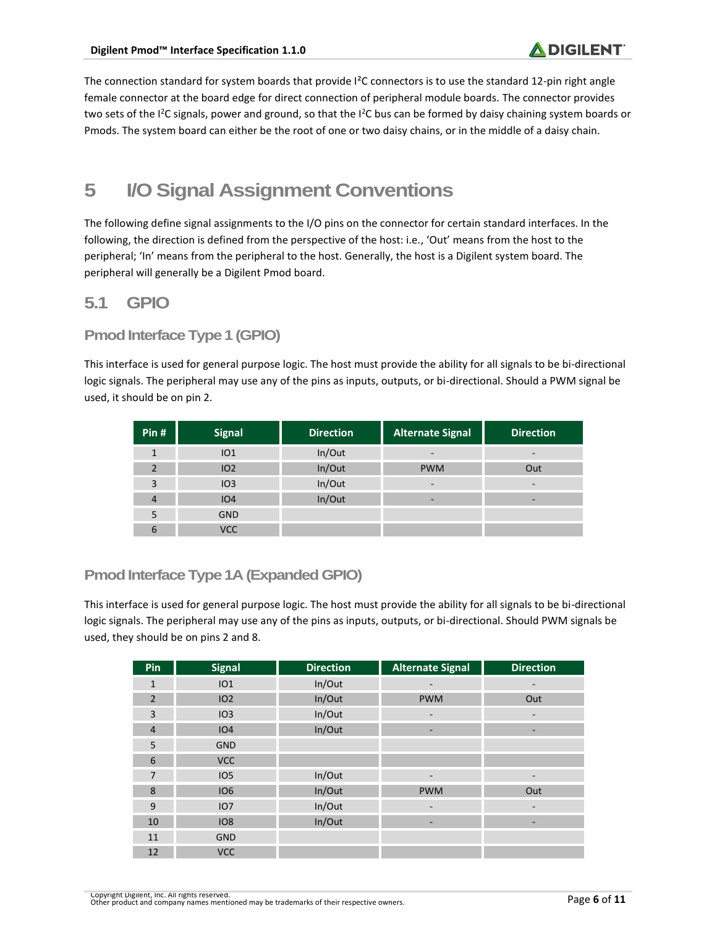The connection standard for system boards that provide I<sup>2</sup>C connectors is to use the standard 12-pin right angle female connector at the board edge for direct connection of peripheral module boards. The connector provides two sets of the I<sup>2</sup>C signals, power and ground, so that the I<sup>2</sup>C bus can be formed by daisy chaining system boards or Pmods. The system board can either be the root of one or two daisy chains, or in the middle of a daisy chain.

# **5 I/O Signal Assignment Conventions**

The following define signal assignments to the I/O pins on the connector for certain standard interfaces. In the following, the direction is defined from the perspective of the host: i.e., 'Out' means from the host to the peripheral; 'In' means from the peripheral to the host. Generally, the host is a Digilent system board. The peripheral will generally be a Digilent Pmod board.

## **5.1 GPIO**

#### **Pmod Interface Type 1 (GPIO)**

This interface is used for general purpose logic. The host must provide the ability for all signals to be bi-directional logic signals. The peripheral may use any of the pins as inputs, outputs, or bi-directional. Should a PWM signal be used, it should be on pin 2.

| Pin $#$      | <b>Signal</b>   | <b>Direction</b> | <b>Alternate Signal</b> | <b>Direction</b> |
|--------------|-----------------|------------------|-------------------------|------------------|
|              | IO1             | In/Out           |                         |                  |
| $\mathbf{D}$ | IO <sub>2</sub> | In/Out           | <b>PWM</b>              | Out              |
| 3            | IO3             | In/Out           | -                       | -                |
| 4            | IO4             | In/Out           | -                       |                  |
| 5            | <b>GND</b>      |                  |                         |                  |
| 6            | VCC             |                  |                         |                  |

### **Pmod Interface Type 1A (Expanded GPIO)**

This interface is used for general purpose logic. The host must provide the ability for all signals to be bi-directional logic signals. The peripheral may use any of the pins as inputs, outputs, or bi-directional. Should PWM signals be used, they should be on pins 2 and 8.

| Pin            | <b>Signal</b>   | <b>Direction</b> | <b>Alternate Signal</b> | <b>Direction</b>         |
|----------------|-----------------|------------------|-------------------------|--------------------------|
| $\mathbf{1}$   | IO1             | In/Out           |                         |                          |
| $\overline{2}$ | 102             | In/Out           | <b>PWM</b>              | Out                      |
| 3              | IO3             | In/Out           | -                       | $\overline{\phantom{a}}$ |
| $\overline{4}$ | IO4             | In/Out           | -                       | ٠                        |
| 5              | <b>GND</b>      |                  |                         |                          |
| 6              | <b>VCC</b>      |                  |                         |                          |
| $\overline{7}$ | <b>IO5</b>      | In/Out           |                         | $\overline{\phantom{0}}$ |
| 8              | <b>IO6</b>      | In/Out           | <b>PWM</b>              | Out                      |
| 9              | IO <sub>7</sub> | In/Out           |                         | $\overline{\phantom{a}}$ |
| 10             | <b>IO8</b>      | In/Out           | -                       | -                        |
| 11             | <b>GND</b>      |                  |                         |                          |
| 12             | <b>VCC</b>      |                  |                         |                          |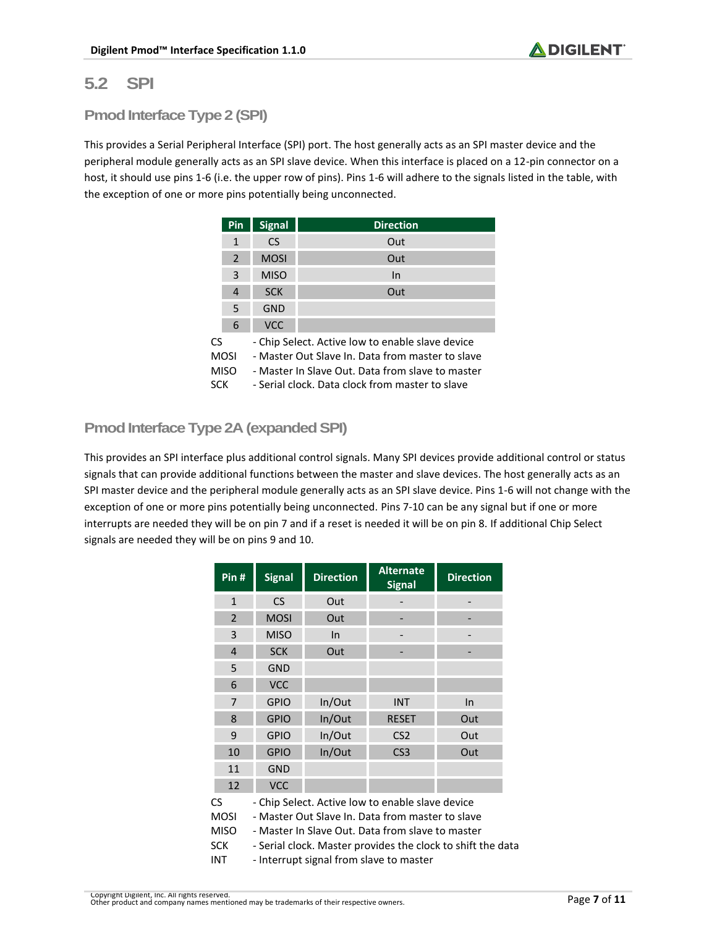## **5.2 SPI**

#### **Pmod Interface Type 2 (SPI)**

This provides a Serial Peripheral Interface (SPI) port. The host generally acts as an SPI master device and the peripheral module generally acts as an SPI slave device. When this interface is placed on a 12-pin connector on a host, it should use pins 1-6 (i.e. the upper row of pins). Pins 1-6 will adhere to the signals listed in the table, with the exception of one or more pins potentially being unconnected.

|           | Pin            | <b>Signal</b> | <b>Direction</b>                                                                                                                                                                                            |  |  |  |
|-----------|----------------|---------------|-------------------------------------------------------------------------------------------------------------------------------------------------------------------------------------------------------------|--|--|--|
|           | $\mathbf{1}$   | C.S           | Out                                                                                                                                                                                                         |  |  |  |
|           | 2              | <b>MOSI</b>   | Out                                                                                                                                                                                                         |  |  |  |
|           | 3              | <b>MISO</b>   | In                                                                                                                                                                                                          |  |  |  |
|           | $\overline{4}$ | <b>SCK</b>    | Out                                                                                                                                                                                                         |  |  |  |
|           | 5              | GND           |                                                                                                                                                                                                             |  |  |  |
|           | 6              | <b>VCC</b>    |                                                                                                                                                                                                             |  |  |  |
| CS<br>SCK | MOSI<br>MISO   |               | - Chip Select. Active low to enable slave device<br>- Master Out Slave In, Data from master to slave<br>- Master In Slave Out. Data from slave to master<br>- Serial clock. Data clock from master to slave |  |  |  |

## **Pmod Interface Type 2A (expanded SPI)**

This provides an SPI interface plus additional control signals. Many SPI devices provide additional control or status signals that can provide additional functions between the master and slave devices. The host generally acts as an SPI master device and the peripheral module generally acts as an SPI slave device. Pins 1-6 will not change with the exception of one or more pins potentially being unconnected. Pins 7-10 can be any signal but if one or more interrupts are needed they will be on pin 7 and if a reset is needed it will be on pin 8. If additional Chip Select signals are needed they will be on pins 9 and 10.

| Pin#                                                         | <b>Signal</b>                                                                                                                                                                                                                                                      | <b>Direction</b> | <b>Alternate</b><br><b>Signal</b> | <b>Direction</b> |  |
|--------------------------------------------------------------|--------------------------------------------------------------------------------------------------------------------------------------------------------------------------------------------------------------------------------------------------------------------|------------------|-----------------------------------|------------------|--|
| $\mathbf{1}$                                                 | <b>CS</b>                                                                                                                                                                                                                                                          | Out              |                                   |                  |  |
| $\overline{2}$                                               | <b>MOSI</b>                                                                                                                                                                                                                                                        | Out              |                                   |                  |  |
| 3                                                            | <b>MISO</b>                                                                                                                                                                                                                                                        | In               |                                   |                  |  |
| 4                                                            | <b>SCK</b>                                                                                                                                                                                                                                                         | Out              |                                   |                  |  |
| 5                                                            | <b>GND</b>                                                                                                                                                                                                                                                         |                  |                                   |                  |  |
| 6                                                            | <b>VCC</b>                                                                                                                                                                                                                                                         |                  |                                   |                  |  |
| 7                                                            | <b>GPIO</b>                                                                                                                                                                                                                                                        | In/Out           | <b>INT</b>                        | $\ln$            |  |
| 8                                                            | <b>GPIO</b>                                                                                                                                                                                                                                                        | In/Out           | <b>RESET</b>                      | Out              |  |
| 9                                                            | <b>GPIO</b>                                                                                                                                                                                                                                                        | In/Out           | CS <sub>2</sub>                   | Out              |  |
| 10                                                           | <b>GPIO</b>                                                                                                                                                                                                                                                        | In/Out           | CS <sub>3</sub>                   | Out              |  |
| 11                                                           | <b>GND</b>                                                                                                                                                                                                                                                         |                  |                                   |                  |  |
| 12                                                           | <b>VCC</b>                                                                                                                                                                                                                                                         |                  |                                   |                  |  |
| <b>CS</b><br><b>MOSI</b><br><b>MISO</b><br><b>SCK</b><br>INT | - Chip Select. Active low to enable slave device<br>- Master Out Slave In. Data from master to slave<br>- Master In Slave Out. Data from slave to master<br>- Serial clock. Master provides the clock to shift the data<br>- Interrupt signal from slave to master |                  |                                   |                  |  |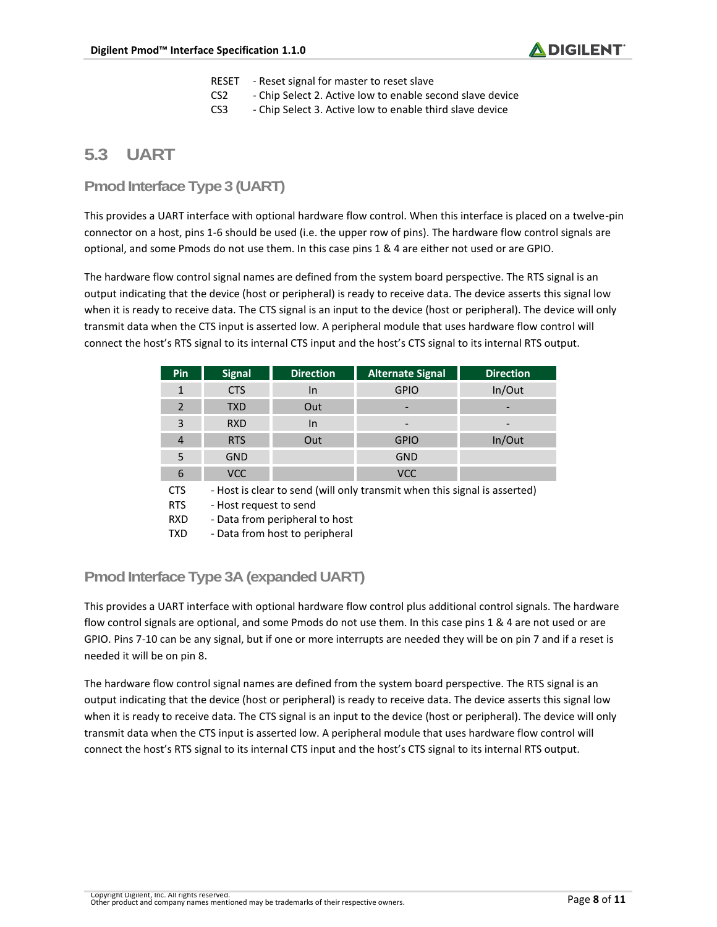- RESET Reset signal for master to reset slave
- CS2 Chip Select 2. Active low to enable second slave device
- CS3 Chip Select 3. Active low to enable third slave device

### **5.3 UART**

#### **Pmod Interface Type 3 (UART)**

This provides a UART interface with optional hardware flow control. When this interface is placed on a twelve-pin connector on a host, pins 1-6 should be used (i.e. the upper row of pins). The hardware flow control signals are optional, and some Pmods do not use them. In this case pins 1 & 4 are either not used or are GPIO.

The hardware flow control signal names are defined from the system board perspective. The RTS signal is an output indicating that the device (host or peripheral) is ready to receive data. The device asserts this signal low when it is ready to receive data. The CTS signal is an input to the device (host or peripheral). The device will only transmit data when the CTS input is asserted low. A peripheral module that uses hardware flow control will connect the host's RTS signal to its internal CTS input and the host's CTS signal to its internal RTS output.

| <b>Pin</b>               | <b>Signal</b> | <b>Direction</b>                                                        | <b>Alternate Signal</b> | <b>Direction</b>             |  |
|--------------------------|---------------|-------------------------------------------------------------------------|-------------------------|------------------------------|--|
|                          | <b>CTS</b>    | In                                                                      | <b>GPIO</b>             | In/Out                       |  |
| $\overline{\phantom{a}}$ | <b>TXD</b>    | Out                                                                     | -                       |                              |  |
| 3                        | <b>RXD</b>    | In                                                                      | -                       | $\qquad \qquad \blacksquare$ |  |
| 4                        | <b>RTS</b>    | Out                                                                     | <b>GPIO</b>             | In/Out                       |  |
| 5                        | <b>GND</b>    |                                                                         | <b>GND</b>              |                              |  |
| 6                        | VCC           |                                                                         | <b>VCC</b>              |                              |  |
| гπс                      |               | Host is clear to send (will only transmit whon this signal is assorted) |                         |                              |  |

CTS - Host is clear to send (will only transmit when this signal is asserted)

RTS - Host request to send

RXD - Data from peripheral to host

TXD - Data from host to peripheral

#### **Pmod Interface Type 3A (expanded UART)**

This provides a UART interface with optional hardware flow control plus additional control signals. The hardware flow control signals are optional, and some Pmods do not use them. In this case pins 1 & 4 are not used or are GPIO. Pins 7-10 can be any signal, but if one or more interrupts are needed they will be on pin 7 and if a reset is needed it will be on pin 8.

The hardware flow control signal names are defined from the system board perspective. The RTS signal is an output indicating that the device (host or peripheral) is ready to receive data. The device asserts this signal low when it is ready to receive data. The CTS signal is an input to the device (host or peripheral). The device will only transmit data when the CTS input is asserted low. A peripheral module that uses hardware flow control will connect the host's RTS signal to its internal CTS input and the host's CTS signal to its internal RTS output.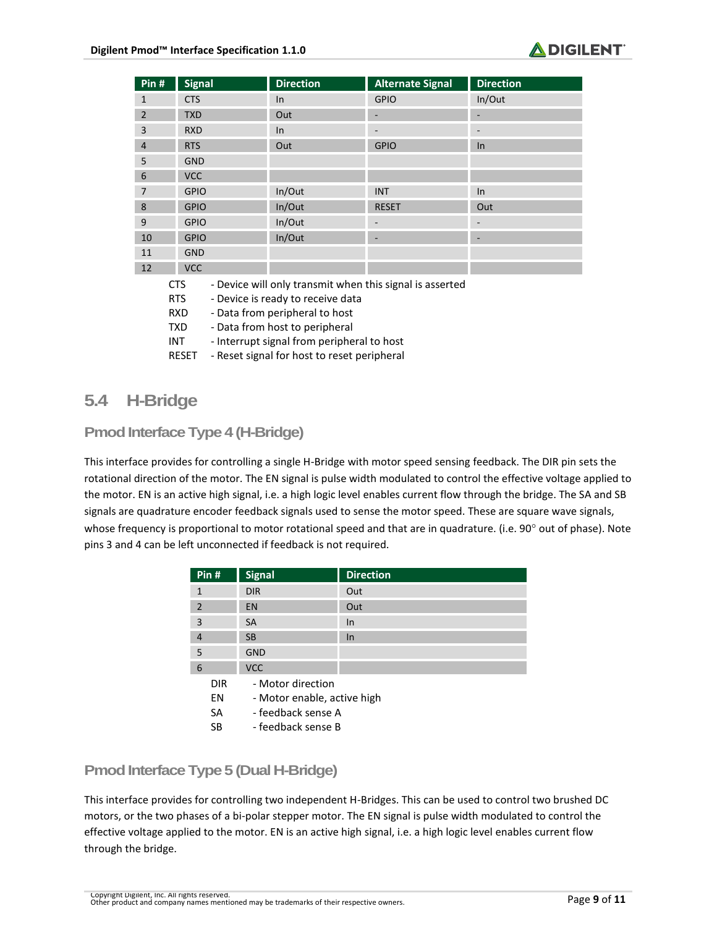

| Pin#           | <b>Signal</b> | <b>Direction</b> | <b>Alternate Signal</b> | <b>Direction</b> |
|----------------|---------------|------------------|-------------------------|------------------|
| 1              | <b>CTS</b>    | In               | <b>GPIO</b>             | In/Out           |
| $\overline{2}$ | <b>TXD</b>    | Out              | -                       |                  |
| 3              | <b>RXD</b>    | In               | -                       |                  |
| 4              | <b>RTS</b>    | Out              | <b>GPIO</b>             | In               |
| 5              | <b>GND</b>    |                  |                         |                  |
| 6              | <b>VCC</b>    |                  |                         |                  |
| 7              | <b>GPIO</b>   | In/Out           | <b>INT</b>              | In               |
| 8              | <b>GPIO</b>   | In/Out           | <b>RESET</b>            | Out              |
| 9              | <b>GPIO</b>   | In/Out           | -                       |                  |
| 10             | <b>GPIO</b>   | In/Out           | ٠                       | ۰                |
| 11             | <b>GND</b>    |                  |                         |                  |
| 12             | <b>VCC</b>    |                  |                         |                  |

- CTS Device will only transmit when this signal is asserted
- RTS Device is ready to receive data
- RXD Data from peripheral to host
- TXD Data from host to peripheral
- INT Interrupt signal from peripheral to host
- RESET Reset signal for host to reset peripheral

## **5.4 H-Bridge**

#### **Pmod Interface Type 4 (H-Bridge)**

This interface provides for controlling a single H-Bridge with motor speed sensing feedback. The DIR pin sets the rotational direction of the motor. The EN signal is pulse width modulated to control the effective voltage applied to the motor. EN is an active high signal, i.e. a high logic level enables current flow through the bridge. The SA and SB signals are quadrature encoder feedback signals used to sense the motor speed. These are square wave signals, whose frequency is proportional to motor rotational speed and that are in quadrature. (i.e.  $90^\circ$  out of phase). Note pins 3 and 4 can be left unconnected if feedback is not required.

| Pin#           | <b>Signal</b>               | <b>Direction</b> |  |
|----------------|-----------------------------|------------------|--|
| $\mathbf{1}$   | <b>DIR</b>                  | Out              |  |
| $\overline{2}$ | EN                          | Out              |  |
| $\overline{3}$ | <b>SA</b>                   | In.              |  |
| $\overline{4}$ | <b>SB</b>                   | <b>In</b>        |  |
| 5              | <b>GND</b>                  |                  |  |
| 6              | <b>VCC</b>                  |                  |  |
| <b>DIR</b>     | - Motor direction           |                  |  |
| EN             | - Motor enable, active high |                  |  |
| <b>SA</b>      | - feedback sense A          |                  |  |
| SB             | - feedback sense B          |                  |  |

#### **Pmod Interface Type 5 (Dual H-Bridge)**

This interface provides for controlling two independent H-Bridges. This can be used to control two brushed DC motors, or the two phases of a bi-polar stepper motor. The EN signal is pulse width modulated to control the effective voltage applied to the motor. EN is an active high signal, i.e. a high logic level enables current flow through the bridge.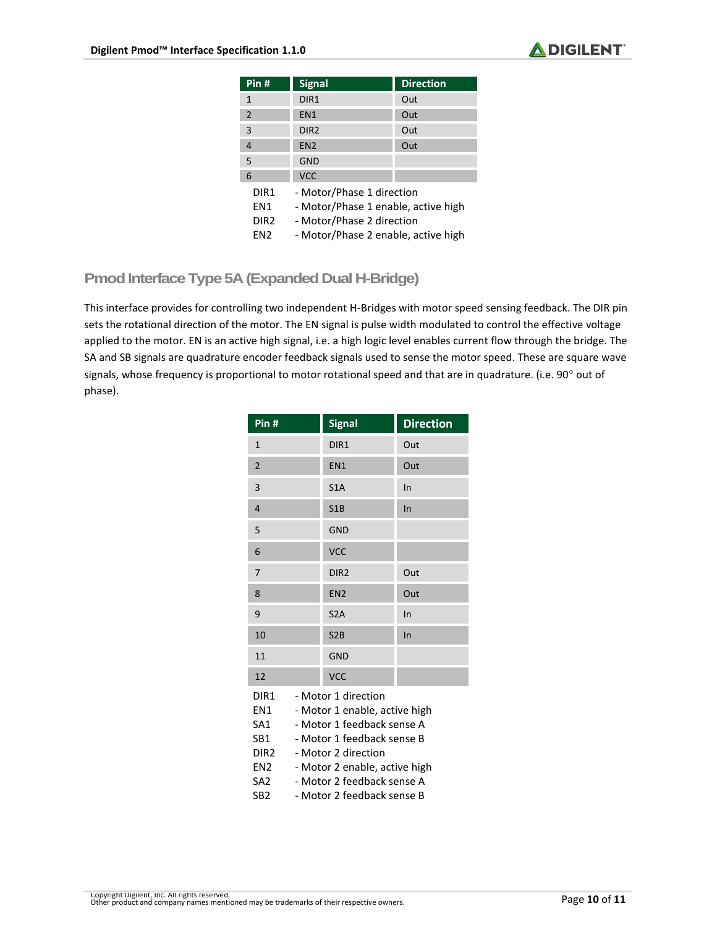

| Pin #            | <b>Signal</b>                       | <b>Direction</b> |  |
|------------------|-------------------------------------|------------------|--|
|                  |                                     |                  |  |
| 1                | DIR <sub>1</sub>                    | Out              |  |
| $\overline{2}$   | FN <sub>1</sub>                     | Out              |  |
| 3                | DIR <sub>2</sub>                    | Out              |  |
| 4                | FN <sub>2</sub>                     | Out              |  |
| 5                | GND                                 |                  |  |
| 6                | <b>VCC</b>                          |                  |  |
| DIR1             | - Motor/Phase 1 direction           |                  |  |
| FN1              | - Motor/Phase 1 enable, active high |                  |  |
| DIR <sub>2</sub> | - Motor/Phase 2 direction           |                  |  |
| FN2              | - Motor/Phase 2 enable, active high |                  |  |

### **Pmod Interface Type 5A (Expanded Dual H-Bridge)**

This interface provides for controlling two independent H-Bridges with motor speed sensing feedback. The DIR pin sets the rotational direction of the motor. The EN signal is pulse width modulated to control the effective voltage applied to the motor. EN is an active high signal, i.e. a high logic level enables current flow through the bridge. The SA and SB signals are quadrature encoder feedback signals used to sense the motor speed. These are square wave signals, whose frequency is proportional to motor rotational speed and that are in quadrature. (i.e. 90° out of phase).

| Pin#                                                                                       | <b>Signal</b>                                                                                                                                                                                                                        | <b>Direction</b> |
|--------------------------------------------------------------------------------------------|--------------------------------------------------------------------------------------------------------------------------------------------------------------------------------------------------------------------------------------|------------------|
| $\mathbf{1}$                                                                               | DIR1                                                                                                                                                                                                                                 | Out              |
| $\overline{2}$                                                                             | EN <sub>1</sub>                                                                                                                                                                                                                      | Out              |
| 3                                                                                          | S1A                                                                                                                                                                                                                                  | In               |
| $\overline{4}$                                                                             | S1B                                                                                                                                                                                                                                  | In               |
| 5                                                                                          | <b>GND</b>                                                                                                                                                                                                                           |                  |
| 6                                                                                          | <b>VCC</b>                                                                                                                                                                                                                           |                  |
| $\overline{7}$                                                                             | DIR <sub>2</sub>                                                                                                                                                                                                                     | Out              |
| 8                                                                                          | EN <sub>2</sub>                                                                                                                                                                                                                      | Out              |
| 9                                                                                          | S <sub>2</sub> A                                                                                                                                                                                                                     | In               |
| 10                                                                                         | S2B                                                                                                                                                                                                                                  | In               |
| 11                                                                                         | <b>GND</b>                                                                                                                                                                                                                           |                  |
| 12                                                                                         | <b>VCC</b>                                                                                                                                                                                                                           |                  |
| DIR1<br>EN1<br>SA <sub>1</sub><br>SB <sub>1</sub><br>DIR2<br>EN2<br>SA2<br>SB <sub>2</sub> | - Motor 1 direction<br>- Motor 1 enable, active high<br>- Motor 1 feedback sense A<br>- Motor 1 feedback sense B<br>- Motor 2 direction<br>- Motor 2 enable, active high<br>- Motor 2 feedback sense A<br>- Motor 2 feedback sense B |                  |